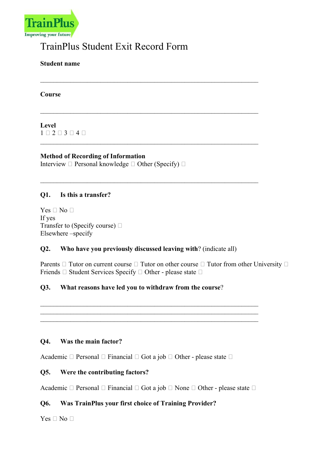

# TrainPlus Student Exit Record Form

Student name

Course

## Level  $1 \square 2 \square 3 \square 4 \square$

Method of Recording of Information Interview  $\Box$  Personal knowledge  $\Box$  Other (Specify)  $\Box$ 

#### Q1. Is this a transfer?

 $Yes \Box No \Box$ If yes Transfer to (Specify course) Elsewhere –specify

#### Q2. Who have you previously discussed leaving with? (indicate all)

 $\_$  , and the set of the set of the set of the set of the set of the set of the set of the set of the set of the set of the set of the set of the set of the set of the set of the set of the set of the set of the set of th

Parents  $\Box$  Tutor on current course  $\Box$  Tutor on other course  $\Box$  Tutor from other University  $\Box$ Friends  $\Box$  Student Services Specify  $\Box$  Other - please state  $\Box$ 

## Q3. What reasons have led you to withdraw from the course?

#### Q4. Was the main factor?

Academic  $\Box$  Personal  $\Box$  Financial  $\Box$  Got a job  $\Box$  Other - please state  $\Box$ 

#### Q5. Were the contributing factors?

Academic  $\Box$  Personal  $\Box$  Financial  $\Box$  Got a job  $\Box$  None  $\Box$  Other - please state  $\Box$ 

 $\_$  , and the set of the set of the set of the set of the set of the set of the set of the set of the set of the set of the set of the set of the set of the set of the set of the set of the set of the set of the set of th

#### Q6. Was TrainPlus your first choice of Training Provider?

 $Yes \Box No \Box$